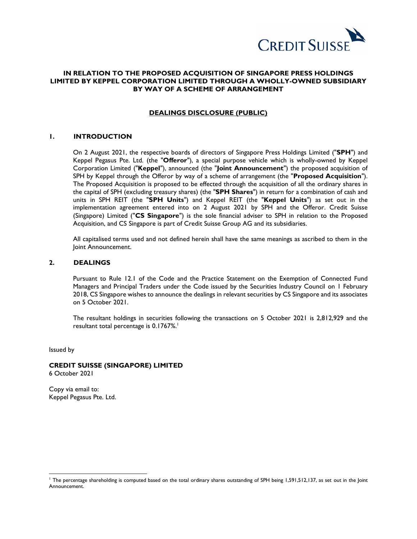

# **IN RELATION TO THE PROPOSED ACQUISITION OF SINGAPORE PRESS HOLDINGS LIMITED BY KEPPEL CORPORATION LIMITED THROUGH A WHOLLY-OWNED SUBSIDIARY BY WAY OF A SCHEME OF ARRANGEMENT**

## **DEALINGS DISCLOSURE (PUBLIC)**

## **1. INTRODUCTION**

On 2 August 2021, the respective boards of directors of Singapore Press Holdings Limited ("**SPH**") and Keppel Pegasus Pte. Ltd. (the "**Offeror**"), a special purpose vehicle which is wholly-owned by Keppel Corporation Limited ("**Keppel**"), announced (the "**Joint Announcement**") the proposed acquisition of SPH by Keppel through the Offeror by way of a scheme of arrangement (the "**Proposed Acquisition**"). The Proposed Acquisition is proposed to be effected through the acquisition of all the ordinary shares in the capital of SPH (excluding treasury shares) (the "**SPH Shares**") in return for a combination of cash and units in SPH REIT (the "**SPH Units**") and Keppel REIT (the "**Keppel Units**") as set out in the implementation agreement entered into on 2 August 2021 by SPH and the Offeror. Credit Suisse (Singapore) Limited ("**CS Singapore**") is the sole financial adviser to SPH in relation to the Proposed Acquisition, and CS Singapore is part of Credit Suisse Group AG and its subsidiaries.

All capitalised terms used and not defined herein shall have the same meanings as ascribed to them in the Joint Announcement.

## **2. DEALINGS**

Pursuant to Rule 12.1 of the Code and the Practice Statement on the Exemption of Connected Fund Managers and Principal Traders under the Code issued by the Securities Industry Council on 1 February 2018, CS Singapore wishes to announce the dealings in relevant securities by CS Singapore and its associates on 5 October 2021.

The resultant holdings in securities following the transactions on 5 October 2021 is 2,812,929 and the resultant total percentage is 0.1767%. 1

Issued by

 $\overline{a}$ 

# **CREDIT SUISSE (SINGAPORE) LIMITED**

6 October 2021

Copy via email to: Keppel Pegasus Pte. Ltd.

<sup>1</sup> The percentage shareholding is computed based on the total ordinary shares outstanding of SPH being 1,591,512,137, as set out in the Joint Announcement.